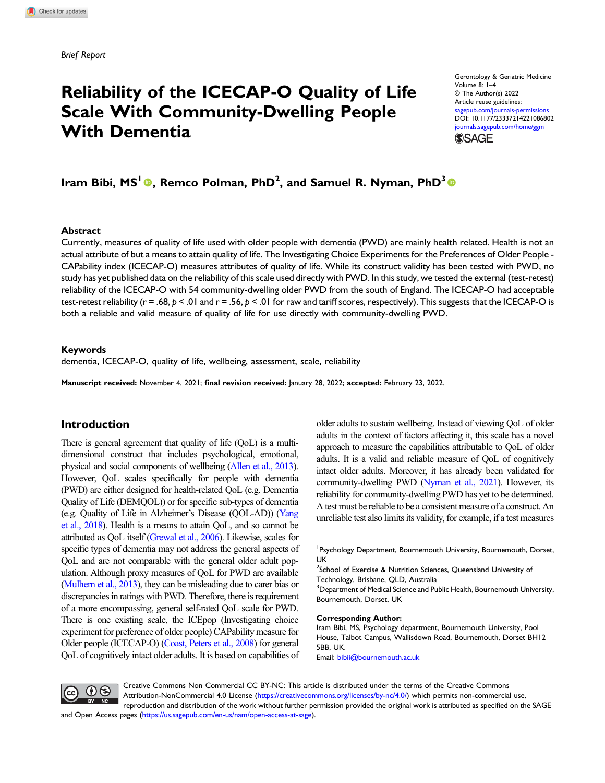# Reliability of the ICECAP-O Quality of Life Scale With Community-Dwelling People With Dementia

Gerontology & Geriatric Medicine Volume 8: 1–4 © The Author(s) 2022 Article reuse guidelines: [sagepub.com/journals-permissions](https://us.sagepub.com/en-us/journals-permissions) DOI: [10.1177/23337214221086802](https://doi.org/10.1177/23337214221086802) [journals.sagepub.com/home/ggm](https://journals.sagepub.com/home/ggm) **SSAGE** 

Iram Bibi, MS<sup>1</sup> <sup>®</sup>, Remco Polman, PhD<sup>2</sup>, and Samuel R. Nyman, PhD<sup>3</sup> <sup>®</sup>

#### Abstract

Currently, measures of quality of life used with older people with dementia (PWD) are mainly health related. Health is not an actual attribute of but a means to attain quality of life. The Investigating Choice Experiments for the Preferences of Older People - CAPability index (ICECAP-O) measures attributes of quality of life. While its construct validity has been tested with PWD, no study has yet published data on the reliability of this scale used directly with PWD. In this study, we tested the external (test-retest) reliability of the ICECAP-O with 54 community-dwelling older PWD from the south of England. The ICECAP-O had acceptable test-retest reliability ( $r = .68$ ,  $p < .01$  and  $r = .56$ ,  $p < .01$  for raw and tariff scores, respectively). This suggests that the ICECAP-O is both a reliable and valid measure of quality of life for use directly with community-dwelling PWD.

#### Keywords

dementia, ICECAP-O, quality of life, wellbeing, assessment, scale, reliability

Manuscript received: November 4, 2021; final revision received: January 28, 2022; accepted: February 23, 2022.

# Introduction

There is general agreement that quality of life (QoL) is a multidimensional construct that includes psychological, emotional, physical and social components of wellbeing [\(Allen et al., 2013](#page-3-0)). However, QoL scales specifically for people with dementia (PWD) are either designed for health-related QoL (e.g. Dementia Quality of Life (DEMQOL)) or for specific sub-types of dementia (e.g. Quality of Life in Alzheimer's Disease (QOL-AD)) [\(Yang](#page-3-1) [et al., 2018\)](#page-3-1). Health is a means to attain QoL, and so cannot be attributed as QoL itself [\(Grewal et al., 2006\)](#page-3-2). Likewise, scales for specific types of dementia may not address the general aspects of QoL and are not comparable with the general older adult population. Although proxy measures of QoL for PWD are available ([Mulhern et al., 2013\)](#page-3-3), they can be misleading due to carer bias or discrepancies in ratings with PWD. Therefore, there is requirement of a more encompassing, general self-rated QoL scale for PWD. There is one existing scale, the ICEpop (Investigating choice experiment for preference of older people) CAPability measure for Older people (ICECAP-O) [\(Coast, Peters et al., 2008](#page-3-4)) for general QoL of cognitively intact older adults. It is based on capabilities of older adults to sustain wellbeing. Instead of viewing QoL of older adults in the context of factors affecting it, this scale has a novel approach to measure the capabilities attributable to QoL of older adults. It is a valid and reliable measure of QoL of cognitively intact older adults. Moreover, it has already been validated for community-dwelling PWD [\(Nyman et al., 2021\)](#page-3-5). However, its reliability for community-dwelling PWD has yet to be determined. A test must be reliable to be a consistent measure of a construct. An unreliable test also limits its validity, for example, if a test measures

#### Corresponding Author:

Iram Bibi, MS, Psychology department, Bournemouth University, Pool House, Talbot Campus, Wallisdown Road, Bournemouth, Dorset BH12 5BB, UK.

Email: [bibii@bournemouth.ac.uk](mailto:bibii@bournemouth.ac.uk)



Creative Commons Non Commercial CC BY-NC: This article is distributed under the terms of the Creative Commons Attribution-NonCommercial 4.0 License ([https://creativecommons.org/licenses/by-nc/4.0/\)](https://creativecommons.org/licenses/by-nc/4.0/) which permits non-commercial use, reproduction and distribution of the work without further permission provided the original work is attributed as specified on the SAGE

and Open Access pages (<https://us.sagepub.com/en-us/nam/open-access-at-sage>).

<sup>&</sup>lt;sup>1</sup> Psychology Department, Bournemouth University, Bournemouth, Dorset, UK

 $^2$ School of Exercise & Nutrition Sciences, Queensland University of Technology, Brisbane, QLD, Australia

<sup>&</sup>lt;sup>3</sup> Department of Medical Science and Public Health, Bournemouth University, Bournemouth, Dorset, UK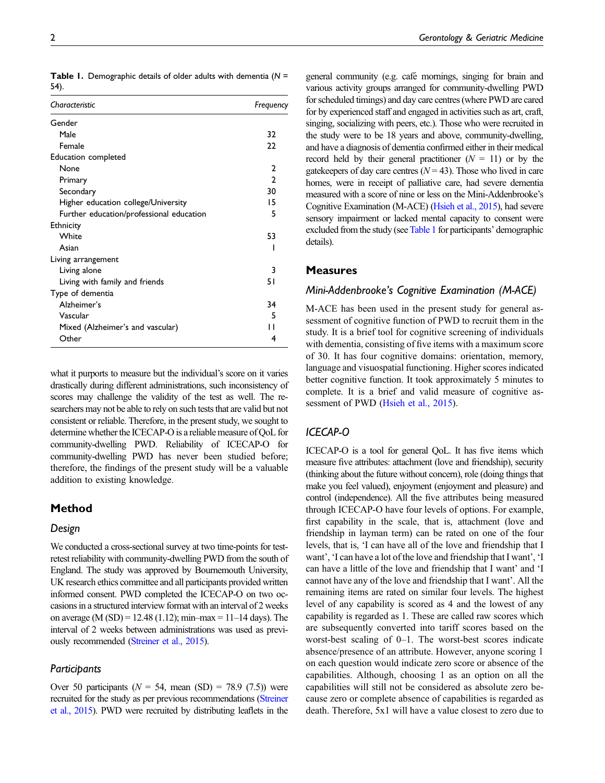| Characteristic                           | Frequency    |
|------------------------------------------|--------------|
| Gender                                   |              |
| Male                                     | 32           |
| Female                                   | 22           |
| Education completed                      |              |
| None                                     | 2            |
| Primary                                  | $\mathbf{2}$ |
| Secondary                                | 30           |
| Higher education college/University      | 15           |
| Further education/professional education | 5            |
| Ethnicity                                |              |
| White                                    | 53           |
| Asian                                    |              |
| Living arrangement                       |              |
| Living alone                             | 3            |
| Living with family and friends           | 51           |
| Type of dementia                         |              |
| Alzheimer's                              | 34           |
| Vascular                                 | 5            |
| Mixed (Alzheimer's and vascular)         | ' 1          |
| Other                                    | 4            |

<span id="page-1-0"></span>**Table 1.** Demographic details of older adults with dementia ( $N =$ 54).

what it purports to measure but the individual's score on it varies drastically during different administrations, such inconsistency of scores may challenge the validity of the test as well. The researchers may not be able to rely on such tests that are valid but not consistent or reliable. Therefore, in the present study, we sought to determine whether the ICECAP-O is a reliable measure of QoL for community-dwelling PWD. Reliability of ICECAP-O for community-dwelling PWD has never been studied before; therefore, the findings of the present study will be a valuable addition to existing knowledge.

# Method

#### Design

We conducted a cross-sectional survey at two time-points for testretest reliability with community-dwelling PWD from the south of England. The study was approved by Bournemouth University, UK research ethics committee and all participants provided written informed consent. PWD completed the ICECAP-O on two occasions in a structured interview format with an interval of 2 weeks on average (M (SD) = 12.48 (1.12); min–max = 11–14 days). The interval of 2 weeks between administrations was used as previously recommended ([Streiner et al., 2015](#page-3-6)).

## **Participants**

Over 50 participants ( $N = 54$ , mean (SD) = 78.9 (7.5)) were recruited for the study as per previous recommendations [\(Streiner](#page-3-6) [et al., 2015\)](#page-3-6). PWD were recruited by distributing leaflets in the general community (e.g. café mornings, singing for brain and various activity groups arranged for community-dwelling PWD for scheduled timings) and day care centres (where PWD are cared for by experienced staff and engaged in activities such as art, craft, singing, socializing with peers, etc.). Those who were recruited in the study were to be 18 years and above, community-dwelling, and have a diagnosis of dementia confirmed either in their medical record held by their general practitioner  $(N = 11)$  or by the gatekeepers of day care centres  $(N = 43)$ . Those who lived in care homes, were in receipt of palliative care, had severe dementia measured with a score of nine or less on the Mini-Addenbrooke's Cognitive Examination (M-ACE) [\(Hsieh et al., 2015](#page-3-7)), had severe sensory impairment or lacked mental capacity to consent were excluded from the study (see [Table 1](#page-1-0) for participants' demographic details).

## **Measures**

### Mini-Addenbrooke's Cognitive Examination (M-ACE)

M-ACE has been used in the present study for general assessment of cognitive function of PWD to recruit them in the study. It is a brief tool for cognitive screening of individuals with dementia, consisting of five items with a maximum score of 30. It has four cognitive domains: orientation, memory, language and visuospatial functioning. Higher scores indicated better cognitive function. It took approximately 5 minutes to complete. It is a brief and valid measure of cognitive as-sessment of PWD [\(Hsieh et al., 2015](#page-3-7)).

# ICECAP-O

ICECAP-O is a tool for general QoL. It has five items which measure five attributes: attachment (love and friendship), security (thinking about the future without concern), role (doing things that make you feel valued), enjoyment (enjoyment and pleasure) and control (independence). All the five attributes being measured through ICECAP-O have four levels of options. For example, first capability in the scale, that is, attachment (love and friendship in layman term) can be rated on one of the four levels, that is, 'I can have all of the love and friendship that I want', 'I can have a lot of the love and friendship that I want', 'I can have a little of the love and friendship that I want' and 'I cannot have any of the love and friendship that I want'. All the remaining items are rated on similar four levels. The highest level of any capability is scored as 4 and the lowest of any capability is regarded as 1. These are called raw scores which are subsequently converted into tariff scores based on the worst-best scaling of 0–1. The worst-best scores indicate absence/presence of an attribute. However, anyone scoring 1 on each question would indicate zero score or absence of the capabilities. Although, choosing 1 as an option on all the capabilities will still not be considered as absolute zero because zero or complete absence of capabilities is regarded as death. Therefore, 5x1 will have a value closest to zero due to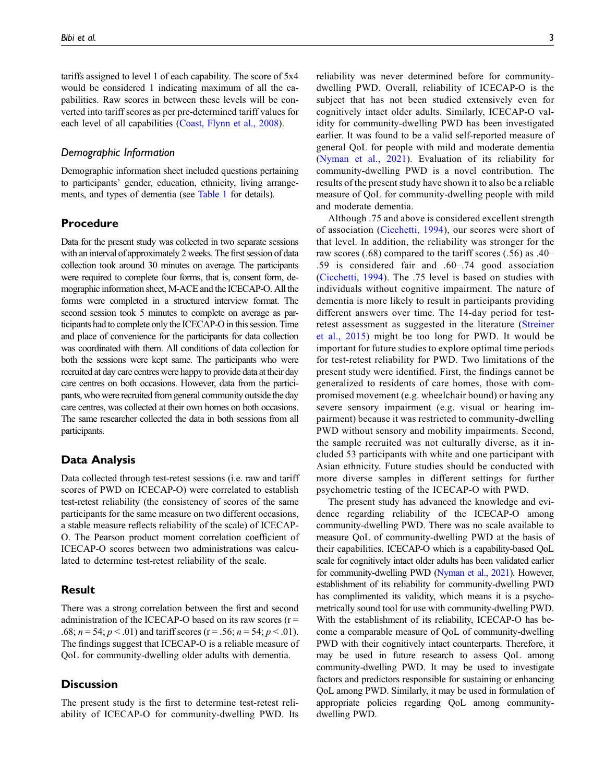tariffs assigned to level 1 of each capability. The score of 5x4 would be considered 1 indicating maximum of all the capabilities. Raw scores in between these levels will be converted into tariff scores as per pre-determined tariff values for each level of all capabilities ([Coast, Flynn et al., 2008](#page-3-8)).

## Demographic Information

Demographic information sheet included questions pertaining to participants' gender, education, ethnicity, living arrangements, and types of dementia (see [Table 1](#page-1-0) for details).

# Procedure

Data for the present study was collected in two separate sessions with an interval of approximately 2 weeks. The first session of data collection took around 30 minutes on average. The participants were required to complete four forms, that is, consent form, demographic information sheet, M-ACE and the ICECAP-O. All the forms were completed in a structured interview format. The second session took 5 minutes to complete on average as participants had to complete only the ICECAP-O in this session. Time and place of convenience for the participants for data collection was coordinated with them. All conditions of data collection for both the sessions were kept same. The participants who were recruited at day care centres were happy to provide data at their day care centres on both occasions. However, data from the participants, who were recruited from general community outside the day care centres, was collected at their own homes on both occasions. The same researcher collected the data in both sessions from all participants.

## Data Analysis

Data collected through test-retest sessions (i.e. raw and tariff scores of PWD on ICECAP-O) were correlated to establish test-retest reliability (the consistency of scores of the same participants for the same measure on two different occasions, a stable measure reflects reliability of the scale) of ICECAP-O. The Pearson product moment correlation coefficient of ICECAP-O scores between two administrations was calculated to determine test-retest reliability of the scale.

## Result

There was a strong correlation between the first and second administration of the ICECAP-O based on its raw scores  $(r =$ .68;  $n = 54$ ;  $p < .01$ ) and tariff scores (r = .56;  $n = 54$ ;  $p < .01$ ). The findings suggest that ICECAP-O is a reliable measure of QoL for community-dwelling older adults with dementia.

# **Discussion**

The present study is the first to determine test-retest reliability of ICECAP-O for community-dwelling PWD. Its reliability was never determined before for communitydwelling PWD. Overall, reliability of ICECAP-O is the subject that has not been studied extensively even for cognitively intact older adults. Similarly, ICECAP-O validity for community-dwelling PWD has been investigated earlier. It was found to be a valid self-reported measure of general QoL for people with mild and moderate dementia ([Nyman et al., 2021\)](#page-3-5). Evaluation of its reliability for community-dwelling PWD is a novel contribution. The results of the present study have shown it to also be a reliable measure of QoL for community-dwelling people with mild and moderate dementia.

Although .75 and above is considered excellent strength of association ([Cicchetti, 1994](#page-3-9)), our scores were short of that level. In addition, the reliability was stronger for the raw scores (.68) compared to the tariff scores (.56) as .40– .59 is considered fair and .60–.74 good association ([Cicchetti, 1994](#page-3-9)). The .75 level is based on studies with individuals without cognitive impairment. The nature of dementia is more likely to result in participants providing different answers over time. The 14-day period for testretest assessment as suggested in the literature [\(Streiner](#page-3-6) [et al., 2015\)](#page-3-6) might be too long for PWD. It would be important for future studies to explore optimal time periods for test-retest reliability for PWD. Two limitations of the present study were identified. First, the findings cannot be generalized to residents of care homes, those with compromised movement (e.g. wheelchair bound) or having any severe sensory impairment (e.g. visual or hearing impairment) because it was restricted to community-dwelling PWD without sensory and mobility impairments. Second, the sample recruited was not culturally diverse, as it included 53 participants with white and one participant with Asian ethnicity. Future studies should be conducted with more diverse samples in different settings for further psychometric testing of the ICECAP-O with PWD.

The present study has advanced the knowledge and evidence regarding reliability of the ICECAP-O among community-dwelling PWD. There was no scale available to measure QoL of community-dwelling PWD at the basis of their capabilities. ICECAP-O which is a capability-based QoL scale for cognitively intact older adults has been validated earlier for community-dwelling PWD [\(Nyman et al., 2021](#page-3-5)). However, establishment of its reliability for community-dwelling PWD has complimented its validity, which means it is a psychometrically sound tool for use with community-dwelling PWD. With the establishment of its reliability, ICECAP-O has become a comparable measure of QoL of community-dwelling PWD with their cognitively intact counterparts. Therefore, it may be used in future research to assess QoL among community-dwelling PWD. It may be used to investigate factors and predictors responsible for sustaining or enhancing QoL among PWD. Similarly, it may be used in formulation of appropriate policies regarding QoL among communitydwelling PWD.